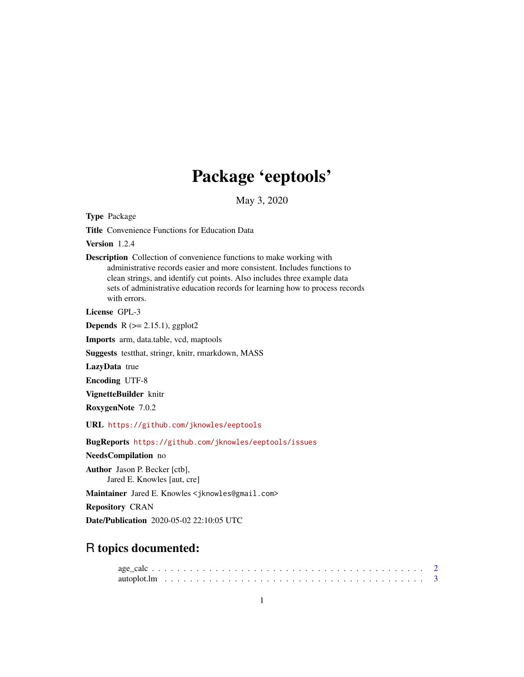# Package 'eeptools'

May 3, 2020

<span id="page-0-0"></span>Type Package

Title Convenience Functions for Education Data

Version 1.2.4

Description Collection of convenience functions to make working with administrative records easier and more consistent. Includes functions to clean strings, and identify cut points. Also includes three example data sets of administrative education records for learning how to process records with errors.

License GPL-3

**Depends** R  $(>= 2.15.1)$ , ggplot2

Imports arm, data.table, vcd, maptools

Suggests testthat, stringr, knitr, rmarkdown, MASS

LazyData true

Encoding UTF-8

VignetteBuilder knitr

RoxygenNote 7.0.2

URL <https://github.com/jknowles/eeptools>

BugReports <https://github.com/jknowles/eeptools/issues>

NeedsCompilation no

Author Jason P. Becker [ctb], Jared E. Knowles [aut, cre]

Maintainer Jared E. Knowles <jknowles@gmail.com>

Repository CRAN

Date/Publication 2020-05-02 22:10:05 UTC

## R topics documented: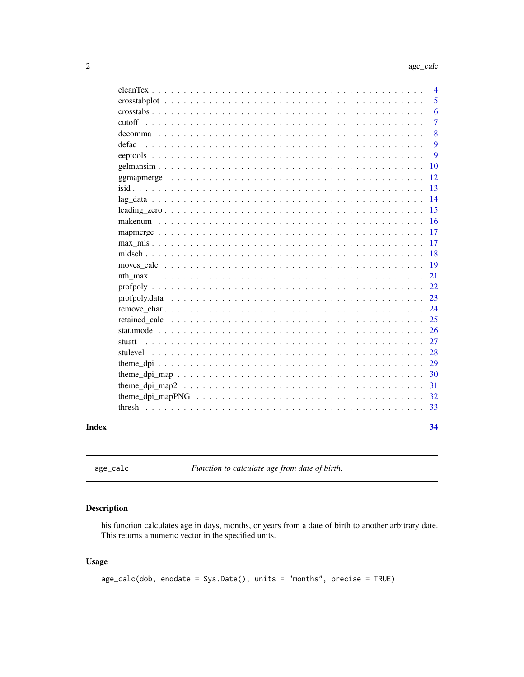<span id="page-1-0"></span>

|                 | $\overline{4}$ |
|-----------------|----------------|
|                 | 5              |
|                 | 6              |
| cutoff          | 7              |
|                 | 8              |
|                 | 9              |
|                 | 9              |
|                 | 10             |
|                 | 12             |
|                 | 13             |
| $lag_data$<br>. | 14             |
|                 | 15             |
|                 | 16             |
|                 | 17             |
|                 | 17             |
|                 | 18             |
|                 | 19             |
|                 | 21             |
|                 | 22             |
|                 | 23             |
|                 | 24             |
| retained calc   | 25             |
|                 | 26             |
|                 | 27             |
|                 | 28             |
|                 | 29             |
|                 | 30             |
|                 | 31             |
|                 | 32             |
|                 | 33             |
|                 |                |
|                 | 34             |

### **Index**

```
age_calc
```
Function to calculate age from date of birth.

### **Description**

his function calculates age in days, months, or years from a date of birth to another arbitrary date. This returns a numeric vector in the specified units.

### **Usage**

 $age\_calc(dob, enddate = Sys.DataFrame(), units = "months", precise = TRUE)$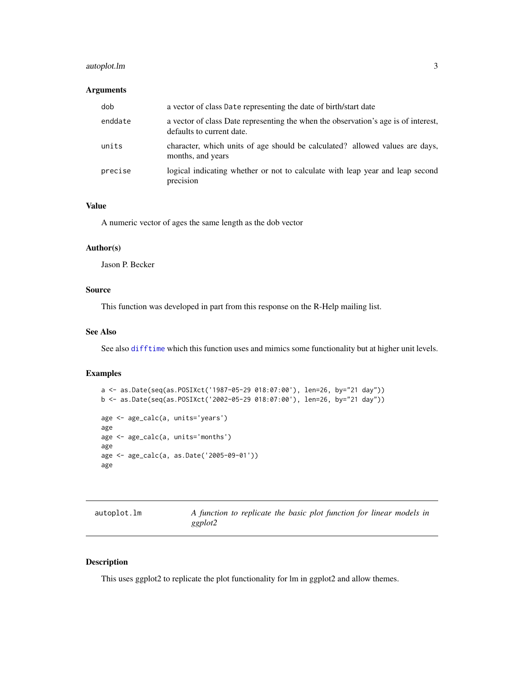### <span id="page-2-0"></span>autoplot.lm 3

### Arguments

| dob     | a vector of class Date representing the date of birth/start date                                                |
|---------|-----------------------------------------------------------------------------------------------------------------|
| enddate | a vector of class Date representing the when the observation's age is of interest,<br>defaults to current date. |
| units   | character, which units of age should be calculated? allowed values are days,<br>months, and years               |
| precise | logical indicating whether or not to calculate with leap year and leap second<br>precision                      |

### Value

A numeric vector of ages the same length as the dob vector

#### Author(s)

Jason P. Becker

### Source

This function was developed in part from this response on the R-Help mailing list.

### See Also

See also [difftime](#page-0-0) which this function uses and mimics some functionality but at higher unit levels.

### Examples

```
a <- as.Date(seq(as.POSIXct('1987-05-29 018:07:00'), len=26, by="21 day"))
b <- as.Date(seq(as.POSIXct('2002-05-29 018:07:00'), len=26, by="21 day"))
age <- age_calc(a, units='years')
age
age <- age_calc(a, units='months')
age
age <- age_calc(a, as.Date('2005-09-01'))
age
```

| autoplot.lm | A function to replicate the basic plot function for linear models in |  |  |  |  |  |
|-------------|----------------------------------------------------------------------|--|--|--|--|--|
|             | ggplot2                                                              |  |  |  |  |  |

### Description

This uses ggplot2 to replicate the plot functionality for lm in ggplot2 and allow themes.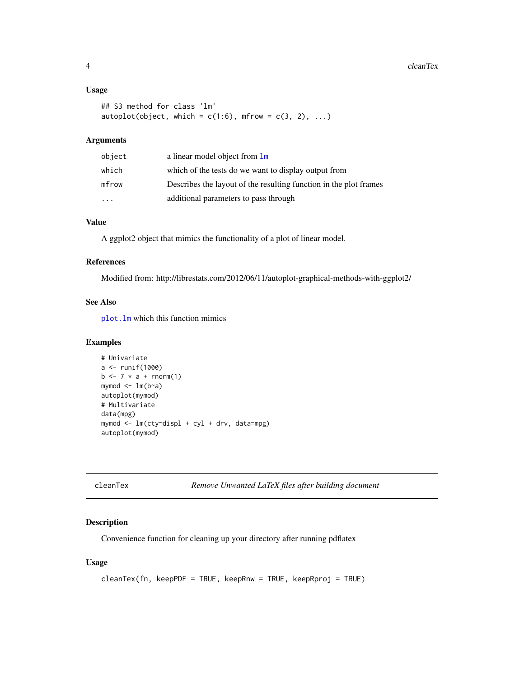#### <span id="page-3-0"></span>4 cleanText cleanText cleanText cleanText cleanText cleanText cleanText cleanText cleanText cleanText cleanText cleanText cleanText cleanText cleanText cleanText cleanText cleanText cleanText cleanText cleanText cleanText

#### Usage

```
## S3 method for class 'lm'
autoplot(object, which = c(1:6), mfrow = c(3, 2), ...)
```
### Arguments

| object    | a linear model object from $\text{Im}$                            |
|-----------|-------------------------------------------------------------------|
| which     | which of the tests do we want to display output from              |
| mfrow     | Describes the layout of the resulting function in the plot frames |
| $\ddotsc$ | additional parameters to pass through                             |

## Value

A ggplot2 object that mimics the functionality of a plot of linear model.

### References

Modified from: http://librestats.com/2012/06/11/autoplot-graphical-methods-with-ggplot2/

### See Also

[plot.lm](#page-0-0) which this function mimics

#### Examples

```
# Univariate
a <- runif(1000)
b \le -7 \times a + \text{rnorm}(1)mymod \leq lm(b \sim a)autoplot(mymod)
# Multivariate
data(mpg)
mymod <- lm(cty~displ + cyl + drv, data=mpg)
autoplot(mymod)
```

```
cleanTex Remove Unwanted LaTeX files after building document
```
### Description

Convenience function for cleaning up your directory after running pdflatex

### Usage

```
cleanTex(fn, keepPDF = TRUE, keepRnw = TRUE, keepRproj = TRUE)
```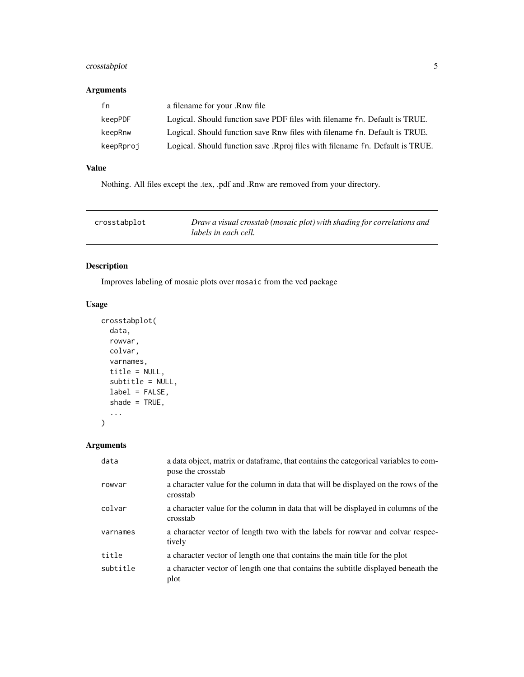### <span id="page-4-0"></span>crosstabplot 5

### Arguments

| fn        | a filename for your .Rnw file                                                 |
|-----------|-------------------------------------------------------------------------------|
| keepPDF   | Logical. Should function save PDF files with filename fn. Default is TRUE.    |
| keepRnw   | Logical. Should function save Rnw files with filename fn. Default is TRUE.    |
| keepRproj | Logical. Should function save .Rproj files with filename fn. Default is TRUE. |

### Value

Nothing. All files except the .tex, .pdf and .Rnw are removed from your directory.

| crosstabplot | Draw a visual crosstab (mosaic plot) with shading for correlations and |
|--------------|------------------------------------------------------------------------|
|              | labels in each cell.                                                   |

### Description

Improves labeling of mosaic plots over mosaic from the vcd package

### Usage

```
crosstabplot(
  data,
  rowvar,
  colvar,
  varnames,
  title = NULL,
  subtitle = NULL,
  label = FALSE,
  shade = TRUE,
  ...
\mathcal{L}
```
### Arguments

| data     | a data object, matrix or dataframe, that contains the categorical variables to com-<br>pose the crosstab |
|----------|----------------------------------------------------------------------------------------------------------|
| rowvar   | a character value for the column in data that will be displayed on the rows of the<br>crosstab           |
| colvar   | a character value for the column in data that will be displayed in columns of the<br>crosstab            |
| varnames | a character vector of length two with the labels for row are and colvar respec-<br>tively                |
| title    | a character vector of length one that contains the main title for the plot                               |
| subtitle | a character vector of length one that contains the subtitle displayed beneath the<br>plot                |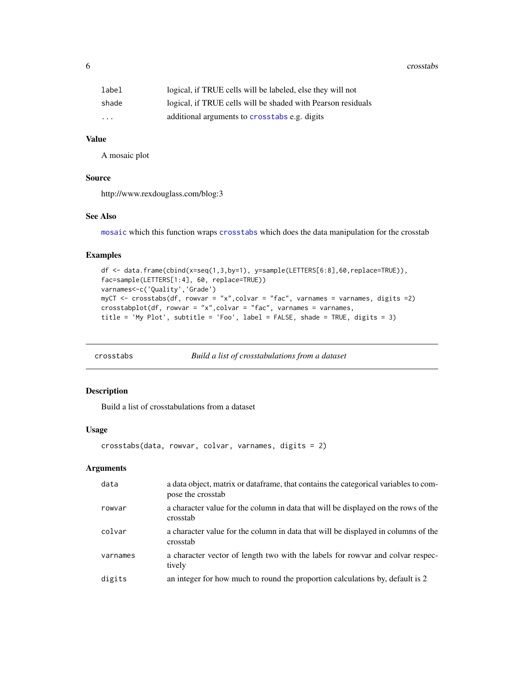<span id="page-5-0"></span>6 crosstabs and the contract of the crosstabs crosstabs crosstabs crosstabs crosstabs crosstabs crosstabs crosstabs crosstabs crosstabs crosstabs crosstabs crosstabs crosstabs crosstabs crosstabs crosstabs crosstabs crosst

| label                   | logical, if TRUE cells will be labeled, else they will not   |
|-------------------------|--------------------------------------------------------------|
| shade                   | logical, if TRUE cells will be shaded with Pearson residuals |
| $\cdot$ $\cdot$ $\cdot$ | additional arguments to crosstabs e.g. digits                |

#### Value

A mosaic plot

#### Source

http://www.rexdouglass.com/blog:3

#### See Also

[mosaic](#page-0-0) which this function wraps [crosstabs](#page-5-1) which does the data manipulation for the crosstab

#### Examples

```
df <- data.frame(cbind(x=seq(1,3,by=1), y=sample(LETTERS[6:8],60,replace=TRUE)),
fac=sample(LETTERS[1:4], 60, replace=TRUE))
varnames<-c('Quality','Grade')
myCT <- crosstabs(df, rowvar = "x",colvar = "fac", varnames = varnames, digits =2)
\text{crosstabplot(df, rowvar = "x",\text{colvar = "fac", varnames = varnames},title = 'My Plot', subtitle = 'Foo', label = FALSE, shade = TRUE, digits = 3)
```
<span id="page-5-1"></span>

crosstabs *Build a list of crosstabulations from a dataset*

### Description

Build a list of crosstabulations from a dataset

#### Usage

```
crosstabs(data, rowvar, colvar, varnames, digits = 2)
```
#### Arguments

| data     | a data object, matrix or data frame, that contains the categorical variables to com-<br>pose the crosstab |
|----------|-----------------------------------------------------------------------------------------------------------|
| rowvar   | a character value for the column in data that will be displayed on the rows of the<br>crosstab            |
| colvar   | a character value for the column in data that will be displayed in columns of the<br>crosstab             |
| varnames | a character vector of length two with the labels for row and colvar respec-<br>tively                     |
| digits   | an integer for how much to round the proportion calculations by, default is 2                             |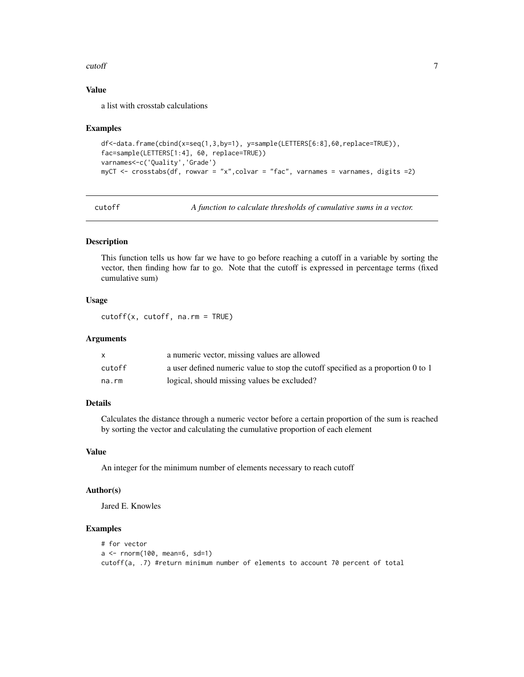#### <span id="page-6-0"></span>cutoff **7**

### Value

a list with crosstab calculations

#### Examples

```
df<-data.frame(cbind(x=seq(1,3,by=1), y=sample(LETTERS[6:8],60,replace=TRUE)),
fac=sample(LETTERS[1:4], 60, replace=TRUE))
varnames<-c('Quality','Grade')
myCT <- crosstabs(df, rowvar = "x",colvar = "fac", varnames = varnames, digits =2)
```
<span id="page-6-1"></span>cutoff *A function to calculate thresholds of cumulative sums in a vector.*

#### Description

This function tells us how far we have to go before reaching a cutoff in a variable by sorting the vector, then finding how far to go. Note that the cutoff is expressed in percentage terms (fixed cumulative sum)

### Usage

cutoff(x, cutoff, na.rm = TRUE)

### Arguments

|        | a numeric vector, missing values are allowed                                     |
|--------|----------------------------------------------------------------------------------|
| cutoff | a user defined numeric value to stop the cutoff specified as a proportion 0 to 1 |
| na.rm  | logical, should missing values be excluded?                                      |

### Details

Calculates the distance through a numeric vector before a certain proportion of the sum is reached by sorting the vector and calculating the cumulative proportion of each element

### Value

An integer for the minimum number of elements necessary to reach cutoff

#### Author(s)

Jared E. Knowles

```
# for vector
a <- rnorm(100, mean=6, sd=1)
cutoff(a, .7) #return minimum number of elements to account 70 percent of total
```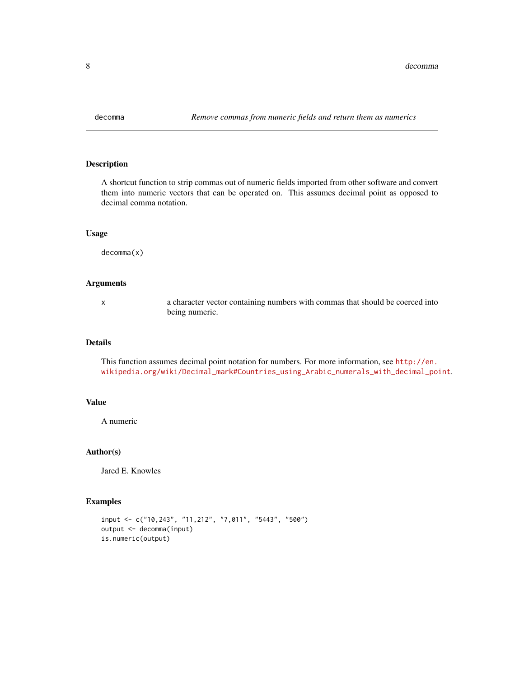<span id="page-7-0"></span>

A shortcut function to strip commas out of numeric fields imported from other software and convert them into numeric vectors that can be operated on. This assumes decimal point as opposed to decimal comma notation.

#### Usage

decomma(x)

### Arguments

x a character vector containing numbers with commas that should be coerced into being numeric.

### Details

This function assumes decimal point notation for numbers. For more information, see [http://en.](http://en.wikipedia.org/wiki/Decimal_mark#Countries_using_Arabic_numerals_with_decimal_point) [wikipedia.org/wiki/Decimal\\_mark#Countries\\_using\\_Arabic\\_numerals\\_with\\_decimal\\_point](http://en.wikipedia.org/wiki/Decimal_mark#Countries_using_Arabic_numerals_with_decimal_point).

#### Value

A numeric

#### Author(s)

Jared E. Knowles

```
input <- c("10,243", "11,212", "7,011", "5443", "500")
output <- decomma(input)
is.numeric(output)
```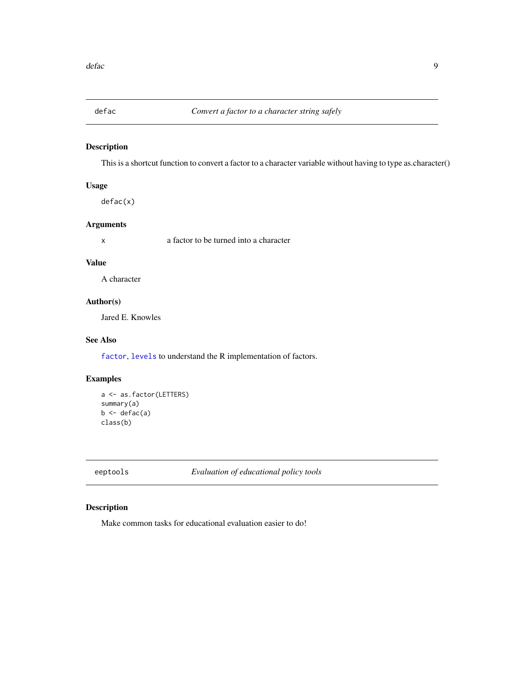<span id="page-8-0"></span>

This is a shortcut function to convert a factor to a character variable without having to type as.character()

### Usage

defac(x)

### Arguments

x a factor to be turned into a character

### Value

A character

### Author(s)

Jared E. Knowles

### See Also

[factor](#page-0-0), [levels](#page-0-0) to understand the R implementation of factors.

### Examples

```
a <- as.factor(LETTERS)
summary(a)
b \leftarrow defac(a)class(b)
```
eeptools *Evaluation of educational policy tools*

### Description

Make common tasks for educational evaluation easier to do!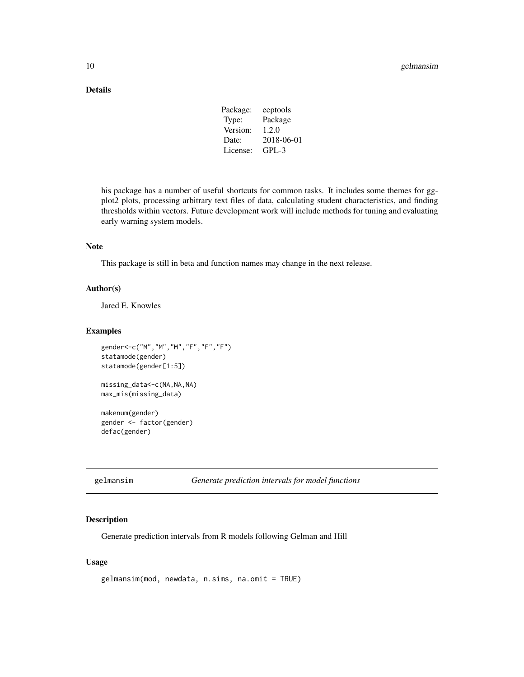### <span id="page-9-0"></span>Details

| eeptools   |
|------------|
| Package    |
|            |
| 2018-06-01 |
|            |
|            |

his package has a number of useful shortcuts for common tasks. It includes some themes for ggplot2 plots, processing arbitrary text files of data, calculating student characteristics, and finding thresholds within vectors. Future development work will include methods for tuning and evaluating early warning system models.

### Note

This package is still in beta and function names may change in the next release.

#### Author(s)

Jared E. Knowles

#### Examples

```
gender<-c("M","M","M","F","F","F")
statamode(gender)
statamode(gender[1:5])
missing_data<-c(NA,NA,NA)
max_mis(missing_data)
makenum(gender)
```
gender <- factor(gender) defac(gender)

gelmansim *Generate prediction intervals for model functions*

### Description

Generate prediction intervals from R models following Gelman and Hill

### Usage

```
gelmansim(mod, newdata, n.sims, na.omit = TRUE)
```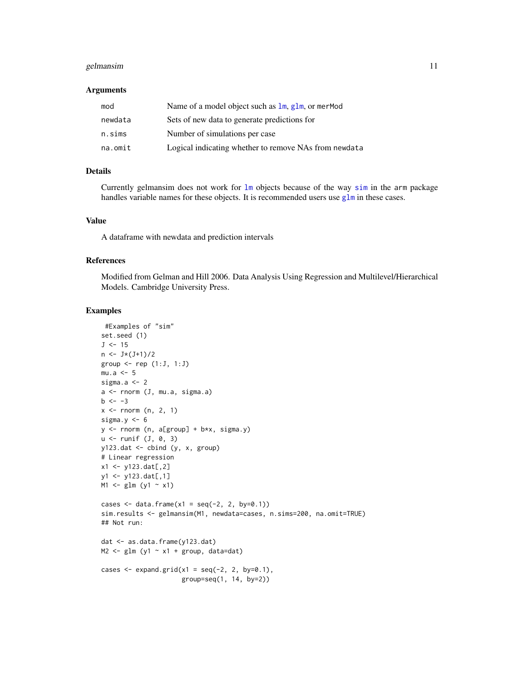#### <span id="page-10-0"></span>gelmansim and the set of the set of the set of the set of the set of the set of the set of the set of the set of the set of the set of the set of the set of the set of the set of the set of the set of the set of the set of

#### Arguments

| mod     | Name of a model object such as $\text{lm}$ , $\text{glm}$ , or merMod |
|---------|-----------------------------------------------------------------------|
| newdata | Sets of new data to generate predictions for                          |
| n.sims  | Number of simulations per case                                        |
| na.omit | Logical indicating whether to remove NAs from newdata                 |

### Details

Currently gelmansim does not work for [lm](#page-0-0) objects because of the way [sim](#page-0-0) in the arm package handles variable names for these objects. It is recommended users use  $g1m$  in these cases.

#### Value

A dataframe with newdata and prediction intervals

### References

Modified from Gelman and Hill 2006. Data Analysis Using Regression and Multilevel/Hierarchical Models. Cambridge University Press.

```
#Examples of "sim"
set.seed (1)
J < -15n \leftarrow J*(J+1)/2group \leq rep (1:J, 1:J)mu.a < -5sigma.a <- 2
a <- rnorm (J, mu.a, sigma.a)
b \le -3x \le rnorm (n, 2, 1)sigma.y <-6y <- rnorm (n, a[group] + b*x, sigma.y)
u \leftarrow runif (J, 0, 3)y123.dat <- cbind (y, x, group)
# Linear regression
x1 \leftarrow y123.dat[, 2]
y1 <- y123.dat[,1]
M1 <- glm (y1 ~ x1)
cases \leq data.frame(x1 = seq(-2, 2, by=0.1))
sim.results <- gelmansim(M1, newdata=cases, n.sims=200, na.omit=TRUE)
## Not run:
dat <- as.data.frame(y123.dat)
M2 <- glm(y1 - x1 + group, data=dat)cases \leq expand.grid(x1 = seq(-2, 2, by=0.1),
                      group=seq(1, 14, by=2))
```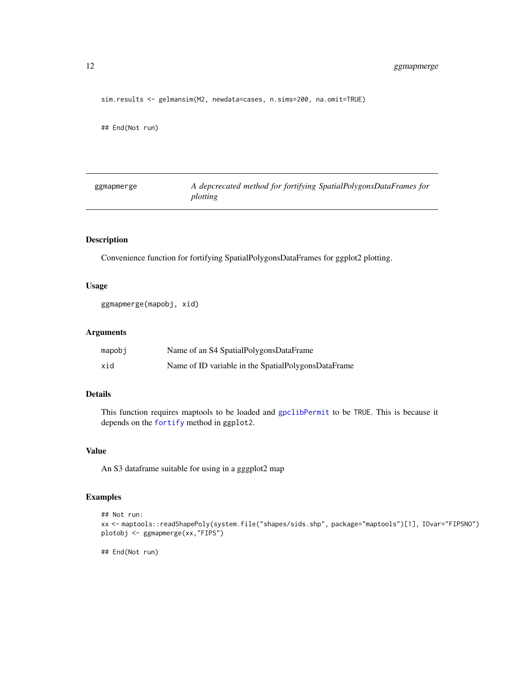<span id="page-11-0"></span>sim.results <- gelmansim(M2, newdata=cases, n.sims=200, na.omit=TRUE)

## End(Not run)

| ggmapmerge | A depcrecated method for fortifying SpatialPolygonsDataFrames for |
|------------|-------------------------------------------------------------------|
|            | plotting                                                          |

### Description

Convenience function for fortifying SpatialPolygonsDataFrames for ggplot2 plotting.

### Usage

```
ggmapmerge(mapobj, xid)
```
### Arguments

| mapobj | Name of an S4 SpatialPolygonsDataFrame              |
|--------|-----------------------------------------------------|
| xid    | Name of ID variable in the SpatialPolygonsDataFrame |

### Details

This function requires maptools to be loaded and [gpclibPermit](#page-0-0) to be TRUE. This is because it depends on the [fortify](#page-0-0) method in ggplot2.

### Value

An S3 dataframe suitable for using in a gggplot2 map

### Examples

```
## Not run:
xx <- maptools::readShapePoly(system.file("shapes/sids.shp", package="maptools")[1], IDvar="FIPSNO")
plotobj <- ggmapmerge(xx,"FIPS")
```
## End(Not run)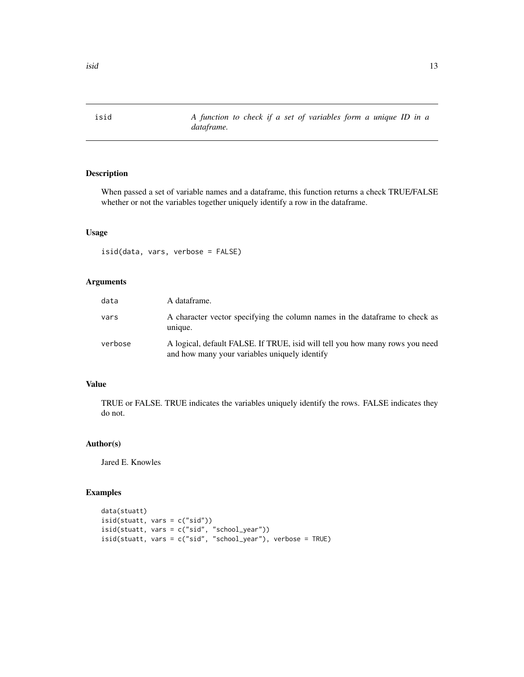<span id="page-12-0"></span>

When passed a set of variable names and a dataframe, this function returns a check TRUE/FALSE whether or not the variables together uniquely identify a row in the dataframe.

#### Usage

isid(data, vars, verbose = FALSE)

### Arguments

| data    | A dataframe.                                                                                                                  |
|---------|-------------------------------------------------------------------------------------------------------------------------------|
| vars    | A character vector specifying the column names in the dataframe to check as<br>unique.                                        |
| verbose | A logical, default FALSE. If TRUE, isid will tell you how many rows you need<br>and how many your variables uniquely identify |

### Value

TRUE or FALSE. TRUE indicates the variables uniquely identify the rows. FALSE indicates they do not.

#### Author(s)

Jared E. Knowles

```
data(stuatt)
isid(stuatt, vars = c("sid"))
isid(stuatt, vars = c("sid", "school_year"))
isid(stuatt, vars = c("sid", "school_year"), verbose = TRUE)
```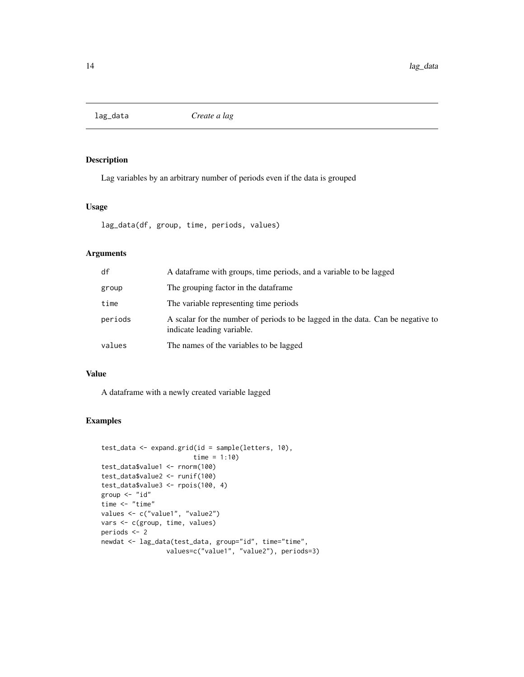<span id="page-13-0"></span>

Lag variables by an arbitrary number of periods even if the data is grouped

### Usage

lag\_data(df, group, time, periods, values)

### Arguments

| df      | A data frame with groups, time periods, and a variable to be lagged                                           |
|---------|---------------------------------------------------------------------------------------------------------------|
| group   | The grouping factor in the dataframe.                                                                         |
| time    | The variable representing time periods                                                                        |
| periods | A scalar for the number of periods to be lagged in the data. Can be negative to<br>indicate leading variable. |
| values  | The names of the variables to be lagged                                                                       |

#### Value

A dataframe with a newly created variable lagged

```
test_data <- expand.grid(id = sample(letters, 10),
                       time = 1:10)
test_data$value1 <- rnorm(100)
test_data$value2 <- runif(100)
test_data$value3 <- rpois(100, 4)
group <- "id"
time <- "time"
values <- c("value1", "value2")
vars <- c(group, time, values)
periods <- 2
newdat <- lag_data(test_data, group="id", time="time",
                 values=c("value1", "value2"), periods=3)
```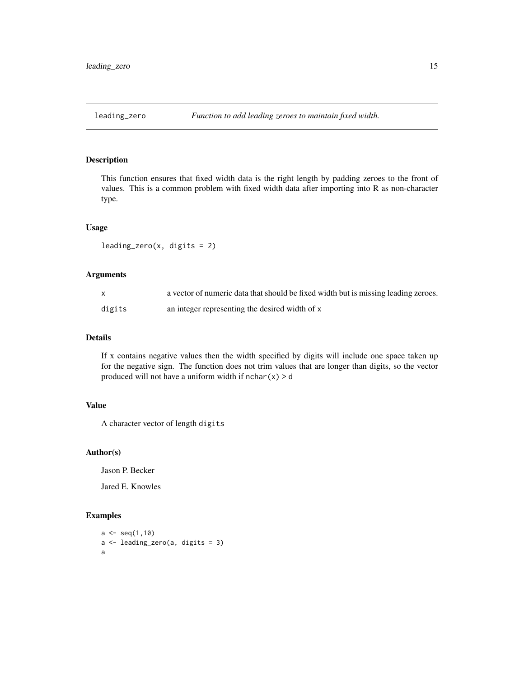<span id="page-14-0"></span>

This function ensures that fixed width data is the right length by padding zeroes to the front of values. This is a common problem with fixed width data after importing into R as non-character type.

#### Usage

 $leading\_zero(x, digits = 2)$ 

#### Arguments

|        | a vector of numeric data that should be fixed width but is missing leading zeroes. |
|--------|------------------------------------------------------------------------------------|
| digits | an integer representing the desired width of x                                     |

#### Details

If x contains negative values then the width specified by digits will include one space taken up for the negative sign. The function does not trim values that are longer than digits, so the vector produced will not have a uniform width if  $nchar(x) > d$ 

### Value

A character vector of length digits

#### Author(s)

Jason P. Becker

Jared E. Knowles

```
a \leftarrow \text{seq}(1,10)a <- leading_zero(a, digits = 3)
a
```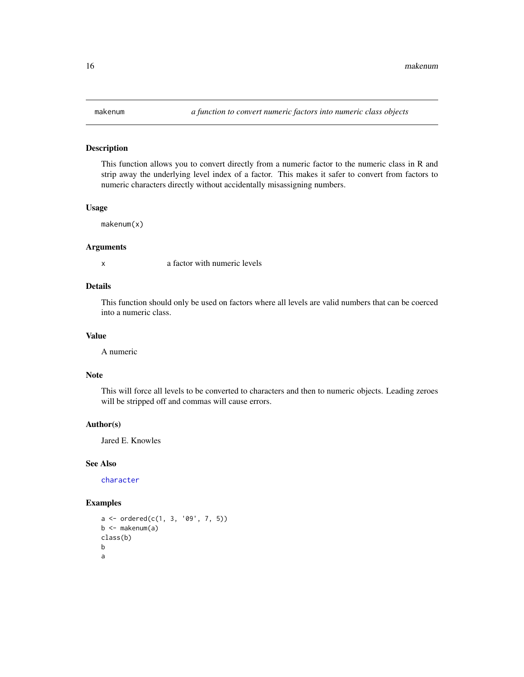<span id="page-15-0"></span>This function allows you to convert directly from a numeric factor to the numeric class in R and strip away the underlying level index of a factor. This makes it safer to convert from factors to numeric characters directly without accidentally misassigning numbers.

### Usage

makenum(x)

#### Arguments

x a factor with numeric levels

### Details

This function should only be used on factors where all levels are valid numbers that can be coerced into a numeric class.

#### Value

A numeric

#### Note

This will force all levels to be converted to characters and then to numeric objects. Leading zeroes will be stripped off and commas will cause errors.

### Author(s)

Jared E. Knowles

### See Also

[character](#page-0-0)

```
a \leftarrow ordered(c(1, 3, '09', 7, 5))b \leq - \text{makenum}(a)class(b)
b
a
```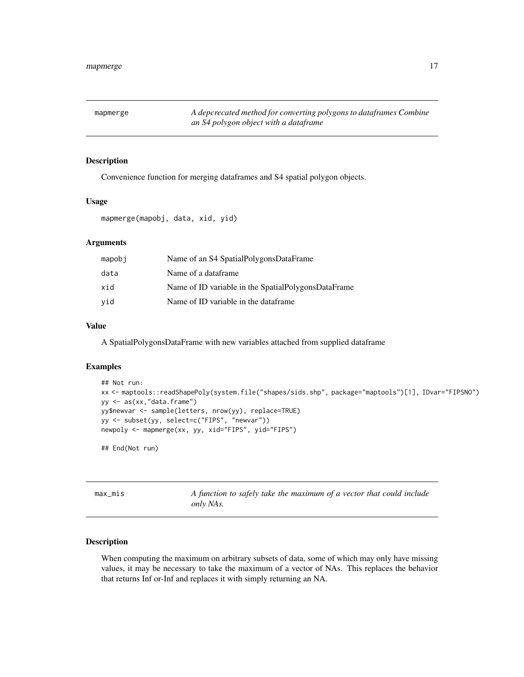<span id="page-16-0"></span>mapmerge *A depcrecated method for converting polygons to dataframes Combine an S4 polygon object with a dataframe*

### Description

Convenience function for merging dataframes and S4 spatial polygon objects.

### Usage

mapmerge(mapobj, data, xid, yid)

### Arguments

| mapobi | Name of an S4 SpatialPolygonsDataFrame              |
|--------|-----------------------------------------------------|
| data   | Name of a dataframe                                 |
| xid    | Name of ID variable in the SpatialPolygonsDataFrame |
| vid    | Name of ID variable in the dataframe.               |

### Value

A SpatialPolygonsDataFrame with new variables attached from supplied dataframe

### Examples

```
## Not run:
xx <- maptools::readShapePoly(system.file("shapes/sids.shp", package="maptools")[1], IDvar="FIPSNO")
yy <- as(xx,"data.frame")
yy$newvar <- sample(letters, nrow(yy), replace=TRUE)
yy <- subset(yy, select=c("FIPS", "newvar"))
newpoly <- mapmerge(xx, yy, xid="FIPS", yid="FIPS")
```
## End(Not run)

max\_mis *A function to safely take the maximum of a vector that could include only NAs.*

#### Description

When computing the maximum on arbitrary subsets of data, some of which may only have missing values, it may be necessary to take the maximum of a vector of NAs. This replaces the behavior that returns Inf or-Inf and replaces it with simply returning an NA.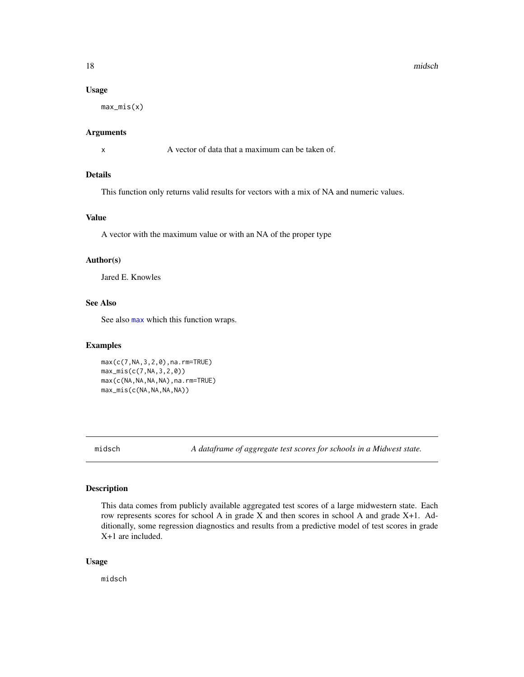#### <span id="page-17-0"></span>Usage

max\_mis(x)

#### Arguments

x A vector of data that a maximum can be taken of.

### Details

This function only returns valid results for vectors with a mix of NA and numeric values.

### Value

A vector with the maximum value or with an NA of the proper type

### Author(s)

Jared E. Knowles

### See Also

See also [max](#page-0-0) which this function wraps.

#### Examples

max(c(7,NA,3,2,0),na.rm=TRUE) max\_mis(c(7,NA,3,2,0)) max(c(NA,NA,NA,NA),na.rm=TRUE) max\_mis(c(NA,NA,NA,NA))

midsch *A dataframe of aggregate test scores for schools in a Midwest state.*

### Description

This data comes from publicly available aggregated test scores of a large midwestern state. Each row represents scores for school A in grade X and then scores in school A and grade X+1. Additionally, some regression diagnostics and results from a predictive model of test scores in grade X+1 are included.

#### Usage

midsch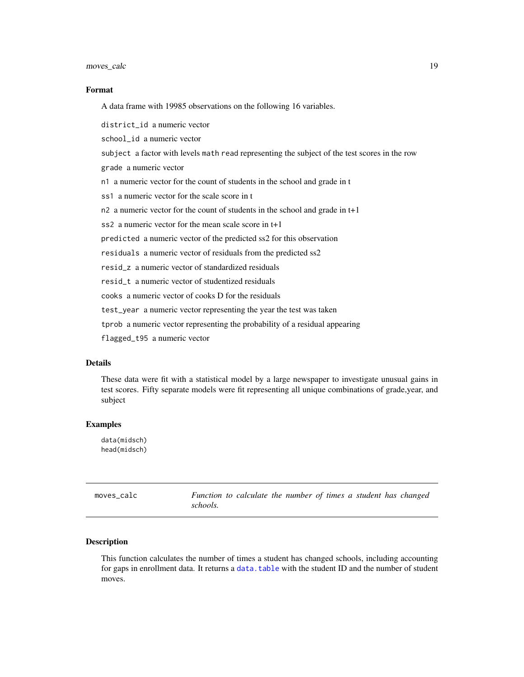<span id="page-18-0"></span>moves\_calc 19

#### Format

A data frame with 19985 observations on the following 16 variables.

district\_id a numeric vector

school\_id a numeric vector

subject a factor with levels math read representing the subject of the test scores in the row

grade a numeric vector

n1 a numeric vector for the count of students in the school and grade in t

ss1 a numeric vector for the scale score in t

n2 a numeric vector for the count of students in the school and grade in t+1

ss2 a numeric vector for the mean scale score in t+1

predicted a numeric vector of the predicted ss2 for this observation

residuals a numeric vector of residuals from the predicted ss2

resid\_z a numeric vector of standardized residuals

resid\_t a numeric vector of studentized residuals

cooks a numeric vector of cooks D for the residuals

test\_year a numeric vector representing the year the test was taken

tprob a numeric vector representing the probability of a residual appearing

flagged\_t95 a numeric vector

### Details

These data were fit with a statistical model by a large newspaper to investigate unusual gains in test scores. Fifty separate models were fit representing all unique combinations of grade,year, and subject

#### Examples

data(midsch) head(midsch)

moves\_calc *Function to calculate the number of times a student has changed schools.*

#### **Description**

This function calculates the number of times a student has changed schools, including accounting for gaps in enrollment data. It returns a [data.table](#page-0-0) with the student ID and the number of student moves.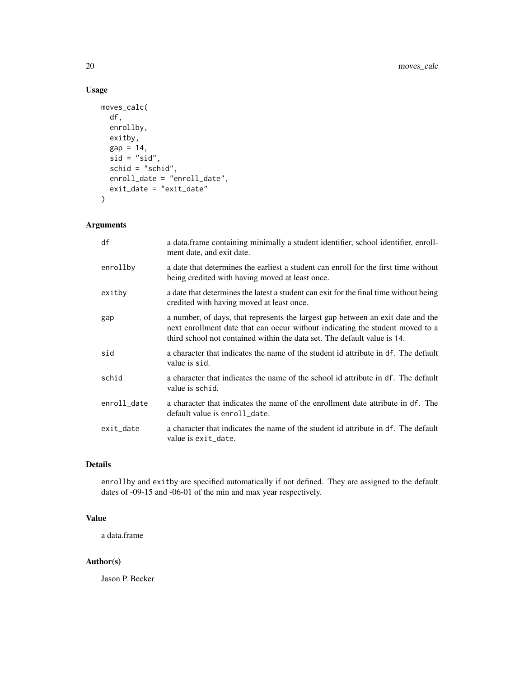### Usage

```
moves_calc(
 df,
 enrollby,
 exitby,
 gap = 14,
 sid = "sid",schid = "schid",
 enroll_date = "enroll_date",
 exit_date = "exit_date"
)
```
### Arguments

| df          | a data.frame containing minimally a student identifier, school identifier, enroll-<br>ment date, and exit date.                                                                                                                              |
|-------------|----------------------------------------------------------------------------------------------------------------------------------------------------------------------------------------------------------------------------------------------|
| enrollby    | a date that determines the earliest a student can enroll for the first time without<br>being credited with having moved at least once.                                                                                                       |
| exitby      | a date that determines the latest a student can exit for the final time without being<br>credited with having moved at least once.                                                                                                           |
| gap         | a number, of days, that represents the largest gap between an exit date and the<br>next enrollment date that can occur without indicating the student moved to a<br>third school not contained within the data set. The default value is 14. |
| sid         | a character that indicates the name of the student id attribute in df. The default<br>value is sid.                                                                                                                                          |
| schid       | a character that indicates the name of the school id attribute in df. The default<br>value is schid.                                                                                                                                         |
| enroll_date | a character that indicates the name of the enrollment date attribute in df. The<br>default value is enroll_date.                                                                                                                             |
| exit_date   | a character that indicates the name of the student id attribute in df. The default<br>value is exit_date.                                                                                                                                    |

#### Details

enrollby and exitby are specified automatically if not defined. They are assigned to the default dates of -09-15 and -06-01 of the min and max year respectively.

### Value

a data.frame

#### Author(s)

Jason P. Becker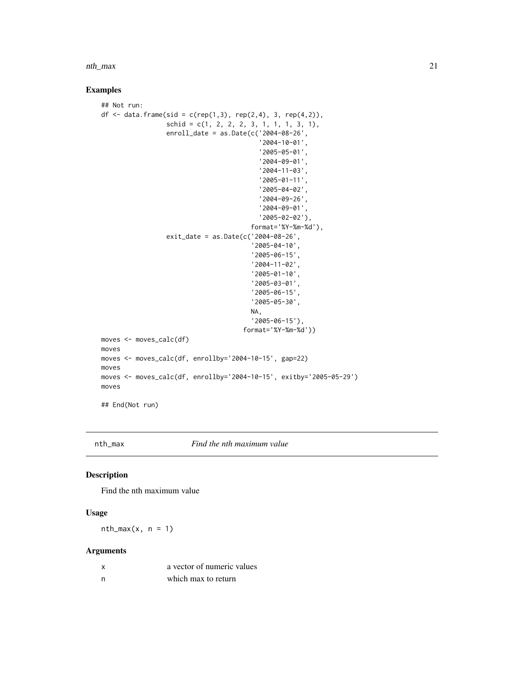<span id="page-20-0"></span>nth\_max 21

### Examples

```
## Not run:
df <- data.frame(sid = c(rep(1,3), rep(2,4), 3, rep(4,2)),\text{schid} = c(1, 2, 2, 2, 3, 1, 1, 1, 3, 1),enroll_date = as.Date(c('2004-08-26',
                                           '2004-10-01',
                                           '2005-05-01',
                                           '2004-09-01',
                                           '2004-11-03',
                                           '2005-01-11',
                                           '2005-04-02',
                                           '2004-09-26',
                                           '2004-09-01',
                                           '2005-02-02'),
                                         format='%Y-%m-%d'),
                  exit_date = as.Date(c('2004-08-26',
                                         '2005-04-10',
                                         '2005-06-15',
                                         '2004-11-02',
                                         '2005-01-10',
                                         '2005-03-01',
                                         '2005-06-15',
                                         '2005-05-30',
                                         NA,
                                         '2005-06-15'),
                                      format='%Y-%m-%d'))
moves <- moves_calc(df)
moves
moves <- moves_calc(df, enrollby='2004-10-15', gap=22)
moves
moves <- moves_calc(df, enrollby='2004-10-15', exitby='2005-05-29')
moves
## End(Not run)
```
nth\_max *Find the nth maximum value*

### Description

Find the nth maximum value

### Usage

 $nth_max(x, n = 1)$ 

#### Arguments

|   | a vector of numeric values |
|---|----------------------------|
| n | which max to return        |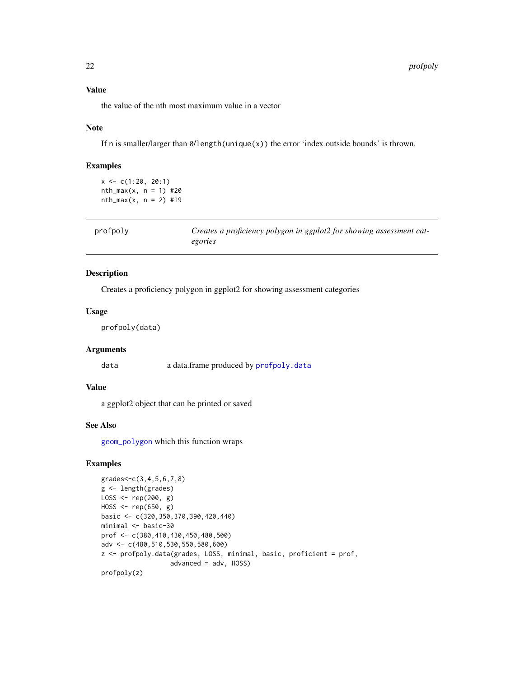### Value

the value of the nth most maximum value in a vector

#### Note

If n is smaller/larger than 0/length(unique(x)) the error 'index outside bounds' is thrown.

### Examples

 $x \leq -c(1:20, 20:1)$  $nth_{max}(x, n = 1)$  #20  $nth_{max}(x, n = 2)$  #19

| profpoly | Creates a proficiency polygon in ggplot2 for showing assessment cat- |
|----------|----------------------------------------------------------------------|
|          | egories                                                              |

### Description

Creates a proficiency polygon in ggplot2 for showing assessment categories

#### Usage

profpoly(data)

### Arguments

data a data.frame produced by [profpoly.data](#page-22-1)

### Value

a ggplot2 object that can be printed or saved

#### See Also

[geom\\_polygon](#page-0-0) which this function wraps

```
grades<-c(3,4,5,6,7,8)
g <- length(grades)
LOSS <- rep(200, g)
HOSS <- rep(650, g)
basic <- c(320,350,370,390,420,440)
minimal <- basic-30
prof <- c(380,410,430,450,480,500)
adv <- c(480,510,530,550,580,600)
z <- profpoly.data(grades, LOSS, minimal, basic, proficient = prof,
                  advanced = adv, HOSS)
profpoly(z)
```
<span id="page-21-0"></span>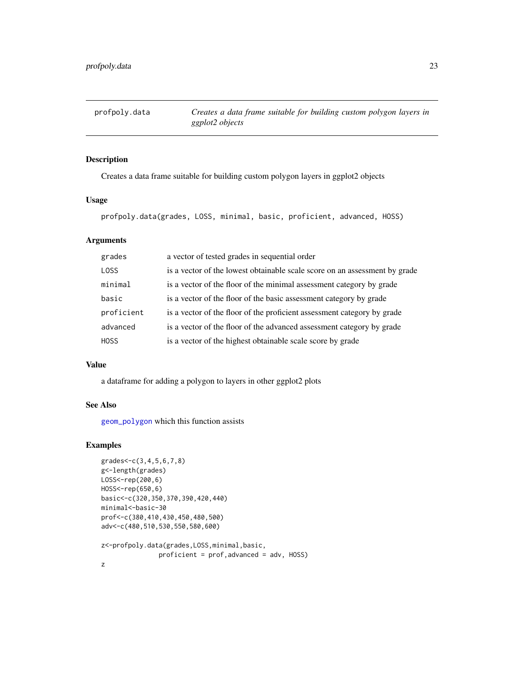<span id="page-22-1"></span><span id="page-22-0"></span>profpoly.data *Creates a data frame suitable for building custom polygon layers in ggplot2 objects*

### Description

Creates a data frame suitable for building custom polygon layers in ggplot2 objects

#### Usage

profpoly.data(grades, LOSS, minimal, basic, proficient, advanced, HOSS)

### Arguments

| grades      | a vector of tested grades in sequential order                              |
|-------------|----------------------------------------------------------------------------|
| <b>LOSS</b> | is a vector of the lowest obtainable scale score on an assessment by grade |
| minimal     | is a vector of the floor of the minimal assessment category by grade       |
| basic       | is a vector of the floor of the basic assessment category by grade         |
| proficient  | is a vector of the floor of the proficient assessment category by grade    |
| advanced    | is a vector of the floor of the advanced assessment category by grade      |
| <b>HOSS</b> | is a vector of the highest obtainable scale score by grade                 |

#### Value

a dataframe for adding a polygon to layers in other ggplot2 plots

## See Also

[geom\\_polygon](#page-0-0) which this function assists

```
grades<-c(3,4,5,6,7,8)
g<-length(grades)
LOSS<-rep(200,6)
HOSS<-rep(650,6)
basic<-c(320,350,370,390,420,440)
minimal<-basic-30
prof<-c(380,410,430,450,480,500)
adv<-c(480,510,530,550,580,600)
z<-profpoly.data(grades,LOSS,minimal,basic,
               proficient = prof,advanced = adv, HOSS)
```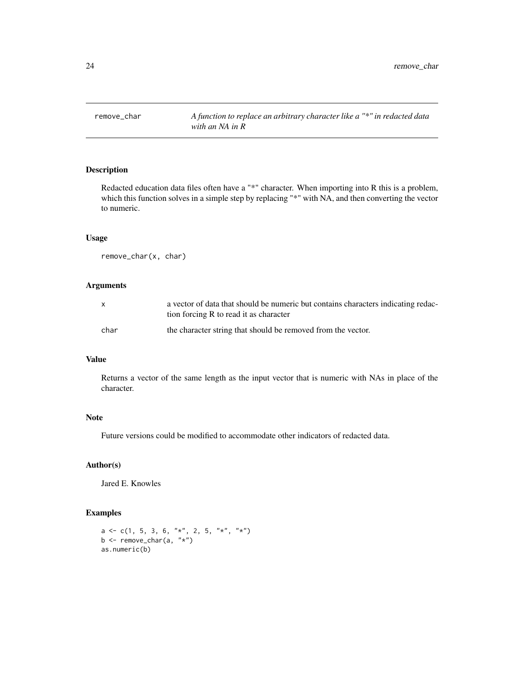<span id="page-23-0"></span>

Redacted education data files often have a "\*" character. When importing into R this is a problem, which this function solves in a simple step by replacing "\*" with NA, and then converting the vector to numeric.

### Usage

remove\_char(x, char)

#### Arguments

| $\mathsf{x}$ | a vector of data that should be numeric but contains characters indicating redac-<br>tion forcing R to read it as character |
|--------------|-----------------------------------------------------------------------------------------------------------------------------|
| char         | the character string that should be removed from the vector.                                                                |

### Value

Returns a vector of the same length as the input vector that is numeric with NAs in place of the character.

### Note

Future versions could be modified to accommodate other indicators of redacted data.

### Author(s)

Jared E. Knowles

```
a <- c(1, 5, 3, 6, "*", 2, 5, "*", "*")
b <- remove_char(a, "*")
as.numeric(b)
```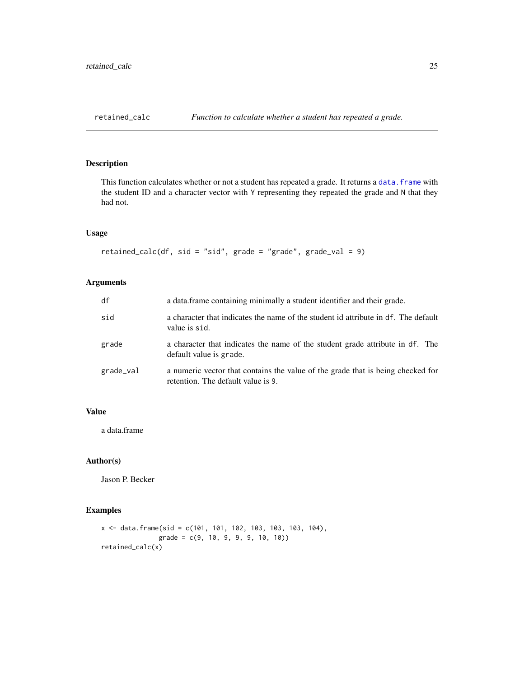<span id="page-24-0"></span>

This function calculates whether or not a student has repeated a grade. It returns a data. frame with the student ID and a character vector with Y representing they repeated the grade and N that they had not.

### Usage

```
retained_calc(df, sid = "sid", grade = "grade", grade_val = 9)
```
### Arguments

| df        | a data.frame containing minimally a student identifier and their grade.                                               |
|-----------|-----------------------------------------------------------------------------------------------------------------------|
| sid       | a character that indicates the name of the student id attribute in df. The default<br>value is sid.                   |
| grade     | a character that indicates the name of the student grade attribute in df. The<br>default value is grade.              |
| grade_val | a numeric vector that contains the value of the grade that is being checked for<br>retention. The default value is 9. |

### Value

a data.frame

### Author(s)

Jason P. Becker

```
x <- data.frame(sid = c(101, 101, 102, 103, 103, 103, 104),
               grade = c(9, 10, 9, 9, 9, 10, 10))
retained_calc(x)
```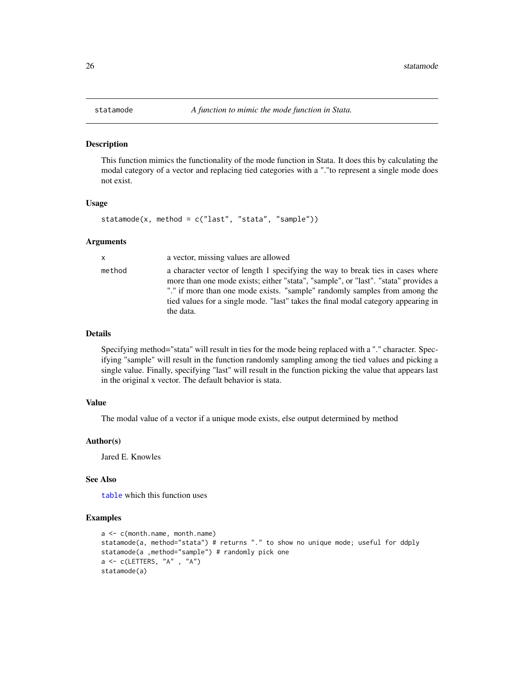<span id="page-25-0"></span>

This function mimics the functionality of the mode function in Stata. It does this by calculating the modal category of a vector and replacing tied categories with a "."to represent a single mode does not exist.

#### Usage

```
statamode(x, method = c("last", "stata", "sample"))
```
#### Arguments

| X      | a vector, missing values are allowed                                                                                                                                                                                                                                                                                                                 |
|--------|------------------------------------------------------------------------------------------------------------------------------------------------------------------------------------------------------------------------------------------------------------------------------------------------------------------------------------------------------|
| method | a character vector of length 1 specifying the way to break ties in cases where<br>more than one mode exists; either "stata", "sample", or "last". "stata" provides a<br>"." if more than one mode exists. "sample" randomly samples from among the<br>tied values for a single mode. "last" takes the final modal category appearing in<br>the data. |
|        |                                                                                                                                                                                                                                                                                                                                                      |

### Details

Specifying method="stata" will result in ties for the mode being replaced with a "." character. Specifying "sample" will result in the function randomly sampling among the tied values and picking a single value. Finally, specifying "last" will result in the function picking the value that appears last in the original x vector. The default behavior is stata.

### Value

The modal value of a vector if a unique mode exists, else output determined by method

### Author(s)

Jared E. Knowles

#### See Also

[table](#page-0-0) which this function uses

```
a <- c(month.name, month.name)
statamode(a, method="stata") # returns "." to show no unique mode; useful for ddply
statamode(a ,method="sample") # randomly pick one
a <- c(LETTERS, "A" , "A")
statamode(a)
```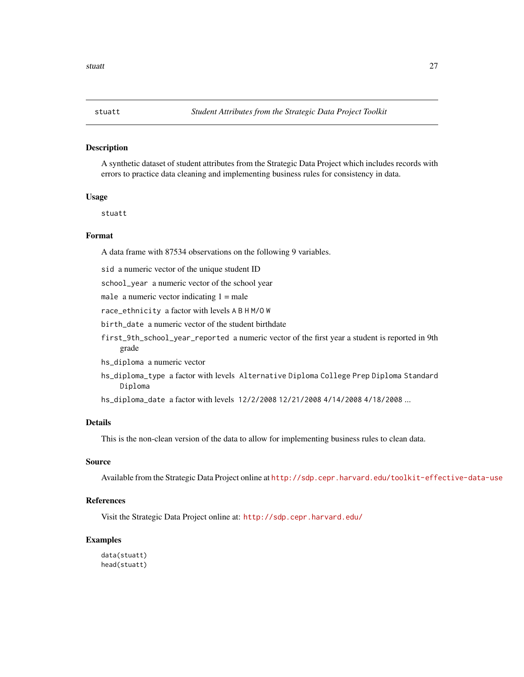<span id="page-26-0"></span>

A synthetic dataset of student attributes from the Strategic Data Project which includes records with errors to practice data cleaning and implementing business rules for consistency in data.

#### Usage

stuatt

### Format

A data frame with 87534 observations on the following 9 variables.

sid a numeric vector of the unique student ID

school\_year a numeric vector of the school year

male a numeric vector indicating  $1 =$  male

race\_ethnicity a factor with levels A B H M/O W

birth\_date a numeric vector of the student birthdate

first\_9th\_school\_year\_reported a numeric vector of the first year a student is reported in 9th grade

hs\_diploma a numeric vector

hs\_diploma\_type a factor with levels Alternative Diploma College Prep Diploma Standard Diploma

hs\_diploma\_date a factor with levels 12/2/2008 12/21/2008 4/14/2008 4/18/2008 ...

### Details

This is the non-clean version of the data to allow for implementing business rules to clean data.

#### Source

Available from the Strategic Data Project online at <http://sdp.cepr.harvard.edu/toolkit-effective-data-use>

#### **References**

Visit the Strategic Data Project online at: <http://sdp.cepr.harvard.edu/>

#### Examples

data(stuatt) head(stuatt)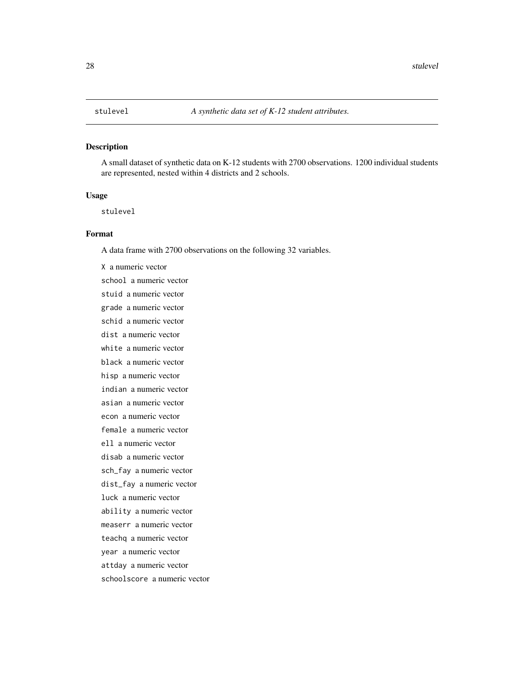<span id="page-27-0"></span>A small dataset of synthetic data on K-12 students with 2700 observations. 1200 individual students are represented, nested within 4 districts and 2 schools.

#### Usage

stulevel

### Format

A data frame with 2700 observations on the following 32 variables.

X a numeric vector school a numeric vector stuid a numeric vector grade a numeric vector schid a numeric vector dist a numeric vector white a numeric vector black a numeric vector hisp a numeric vector indian a numeric vector asian a numeric vector econ a numeric vector female a numeric vector ell a numeric vector disab a numeric vector sch\_fay a numeric vector dist\_fay a numeric vector luck a numeric vector ability a numeric vector measerr a numeric vector teachq a numeric vector year a numeric vector attday a numeric vector schoolscore a numeric vector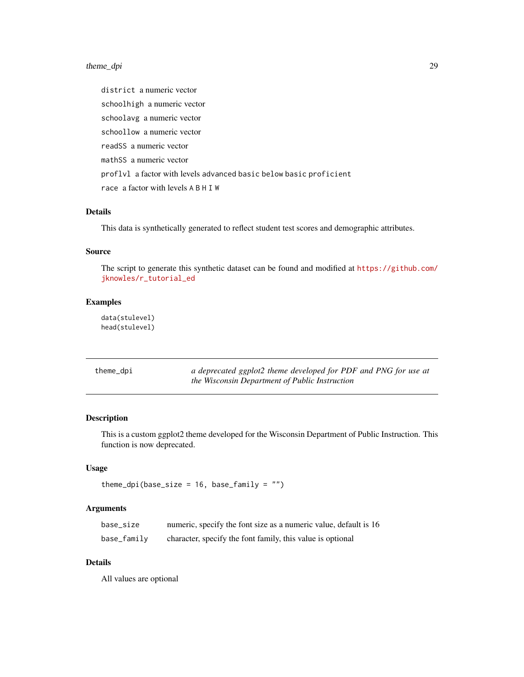### <span id="page-28-0"></span>theme\_dpi 29

district a numeric vector schoolhigh a numeric vector schoolavg a numeric vector schoollow a numeric vector readSS a numeric vector mathSS a numeric vector proflvl a factor with levels advanced basic below basic proficient race a factor with levels A B H I W

### Details

This data is synthetically generated to reflect student test scores and demographic attributes.

#### Source

The script to generate this synthetic dataset can be found and modified at [https://github.com/](https://github.com/jknowles/r_tutorial_ed) [jknowles/r\\_tutorial\\_ed](https://github.com/jknowles/r_tutorial_ed)

#### Examples

data(stulevel) head(stulevel)

| theme_dpi | a deprecated ggplot2 theme developed for PDF and PNG for use at |
|-----------|-----------------------------------------------------------------|
|           | the Wisconsin Department of Public Instruction                  |

### Description

This is a custom ggplot2 theme developed for the Wisconsin Department of Public Instruction. This function is now deprecated.

### Usage

```
theme_dpi(base_size = 16, base_family = "")
```
### Arguments

| base_size   | numeric, specify the font size as a numeric value, default is 16 |
|-------------|------------------------------------------------------------------|
| base_family | character, specify the font family, this value is optional       |

### Details

All values are optional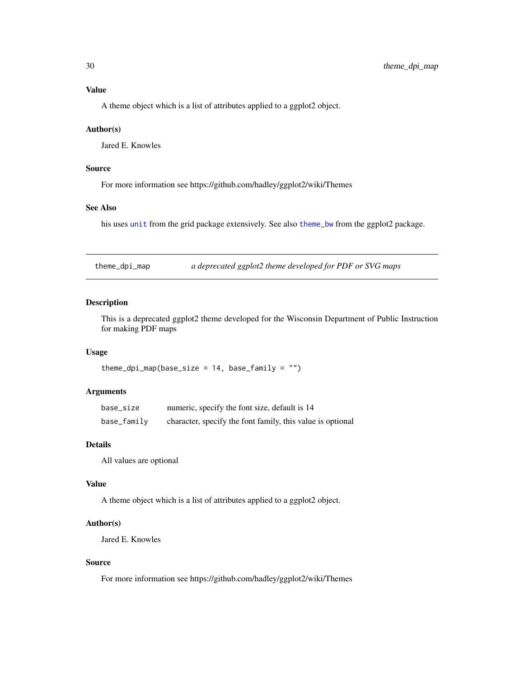### <span id="page-29-0"></span>Value

A theme object which is a list of attributes applied to a ggplot2 object.

#### Author(s)

Jared E. Knowles

### Source

For more information see https://github.com/hadley/ggplot2/wiki/Themes

### See Also

his uses [unit](#page-0-0) from the grid package extensively. See also [theme\\_bw](#page-0-0) from the ggplot2 package.

theme\_dpi\_map *a deprecated ggplot2 theme developed for PDF or SVG maps*

### Description

This is a deprecated ggplot2 theme developed for the Wisconsin Department of Public Instruction for making PDF maps

### Usage

theme\_dpi\_map(base\_size =  $14$ , base\_family = "")

### Arguments

| base_size   | numeric, specify the font size, default is 14              |
|-------------|------------------------------------------------------------|
| base_family | character, specify the font family, this value is optional |

#### Details

All values are optional

### Value

A theme object which is a list of attributes applied to a ggplot2 object.

#### Author(s)

Jared E. Knowles

### Source

For more information see https://github.com/hadley/ggplot2/wiki/Themes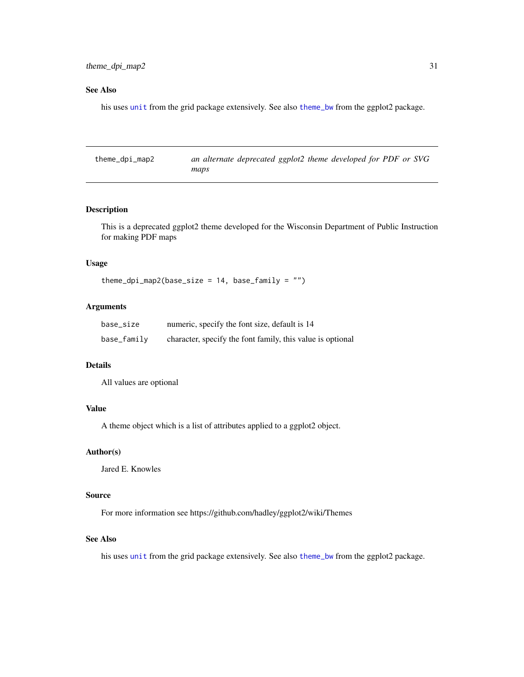### <span id="page-30-0"></span>See Also

his uses [unit](#page-0-0) from the grid package extensively. See also [theme\\_bw](#page-0-0) from the ggplot2 package.

theme\_dpi\_map2 *an alternate deprecated ggplot2 theme developed for PDF or SVG maps*

### Description

This is a deprecated ggplot2 theme developed for the Wisconsin Department of Public Instruction for making PDF maps

### Usage

theme\_dpi\_map2(base\_size =  $14$ , base\_family = "")

### Arguments

| base_size   | numeric, specify the font size, default is 14              |
|-------------|------------------------------------------------------------|
| base_family | character, specify the font family, this value is optional |

#### Details

All values are optional

### Value

A theme object which is a list of attributes applied to a ggplot2 object.

### Author(s)

Jared E. Knowles

### Source

For more information see https://github.com/hadley/ggplot2/wiki/Themes

#### See Also

his uses [unit](#page-0-0) from the grid package extensively. See also [theme\\_bw](#page-0-0) from the ggplot2 package.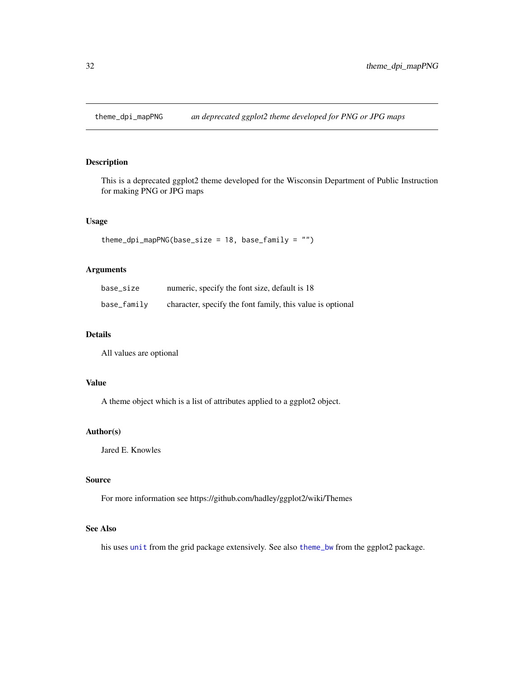<span id="page-31-0"></span>theme\_dpi\_mapPNG *an deprecated ggplot2 theme developed for PNG or JPG maps*

### Description

This is a deprecated ggplot2 theme developed for the Wisconsin Department of Public Instruction for making PNG or JPG maps

### Usage

```
theme_dpi_mapPNG(base_size = 18, base_family = "")
```
### Arguments

| base_size   | numeric, specify the font size, default is 18              |
|-------------|------------------------------------------------------------|
| base_family | character, specify the font family, this value is optional |

### Details

All values are optional

### Value

A theme object which is a list of attributes applied to a ggplot2 object.

### Author(s)

Jared E. Knowles

#### Source

For more information see https://github.com/hadley/ggplot2/wiki/Themes

### See Also

his uses [unit](#page-0-0) from the grid package extensively. See also [theme\\_bw](#page-0-0) from the ggplot2 package.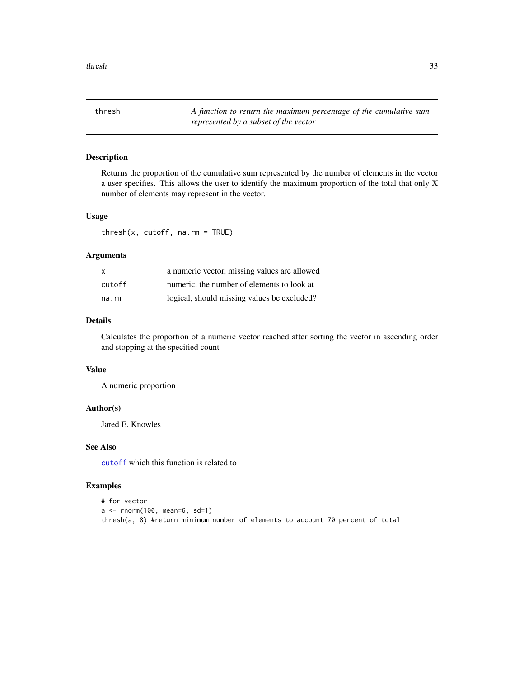<span id="page-32-0"></span>thresh *A function to return the maximum percentage of the cumulative sum represented by a subset of the vector*

#### Description

Returns the proportion of the cumulative sum represented by the number of elements in the vector a user specifies. This allows the user to identify the maximum proportion of the total that only X number of elements may represent in the vector.

#### Usage

thresh(x, cutoff, na.rm = TRUE)

#### Arguments

| x      | a numeric vector, missing values are allowed |
|--------|----------------------------------------------|
| cutoff | numeric, the number of elements to look at   |
| na.rm  | logical, should missing values be excluded?  |

#### Details

Calculates the proportion of a numeric vector reached after sorting the vector in ascending order and stopping at the specified count

#### Value

A numeric proportion

### Author(s)

Jared E. Knowles

### See Also

[cutoff](#page-6-1) which this function is related to

```
# for vector
a <- rnorm(100, mean=6, sd=1)
thresh(a, 8) #return minimum number of elements to account 70 percent of total
```